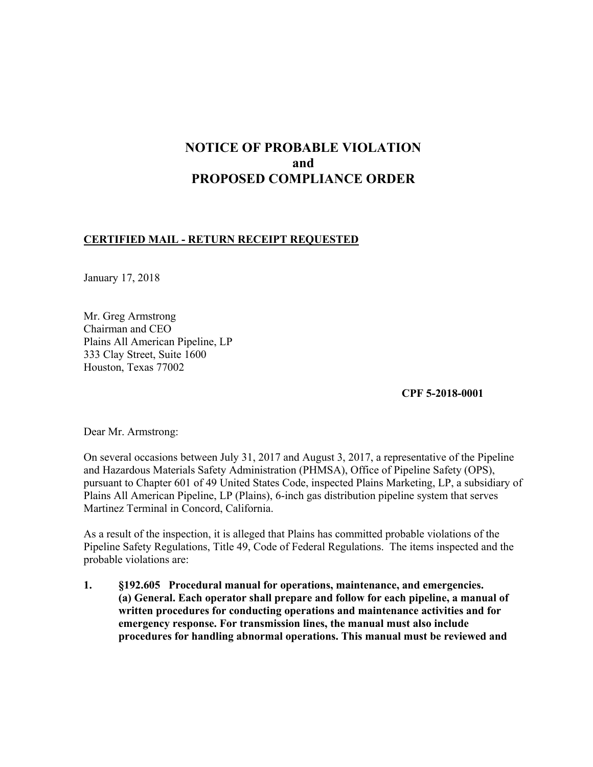# **NOTICE OF PROBABLE VIOLATION and PROPOSED COMPLIANCE ORDER**

### **CERTIFIED MAIL - RETURN RECEIPT REQUESTED**

January 17, 2018

Mr. Greg Armstrong Chairman and CEO Plains All American Pipeline, LP 333 Clay Street, Suite 1600 Houston, Texas 77002

**CPF 5-2018-0001**

Dear Mr. Armstrong:

On several occasions between July 31, 2017 and August 3, 2017, a representative of the Pipeline and Hazardous Materials Safety Administration (PHMSA), Office of Pipeline Safety (OPS), pursuant to Chapter 601 of 49 United States Code, inspected Plains Marketing, LP, a subsidiary of Plains All American Pipeline, LP (Plains), 6-inch gas distribution pipeline system that serves Martinez Terminal in Concord, California.

As a result of the inspection, it is alleged that Plains has committed probable violations of the Pipeline Safety Regulations, Title 49, Code of Federal Regulations. The items inspected and the probable violations are:

**1. §192.605 Procedural manual for operations, maintenance, and emergencies. (a) General. Each operator shall prepare and follow for each pipeline, a manual of written procedures for conducting operations and maintenance activities and for emergency response. For transmission lines, the manual must also include procedures for handling abnormal operations. This manual must be reviewed and**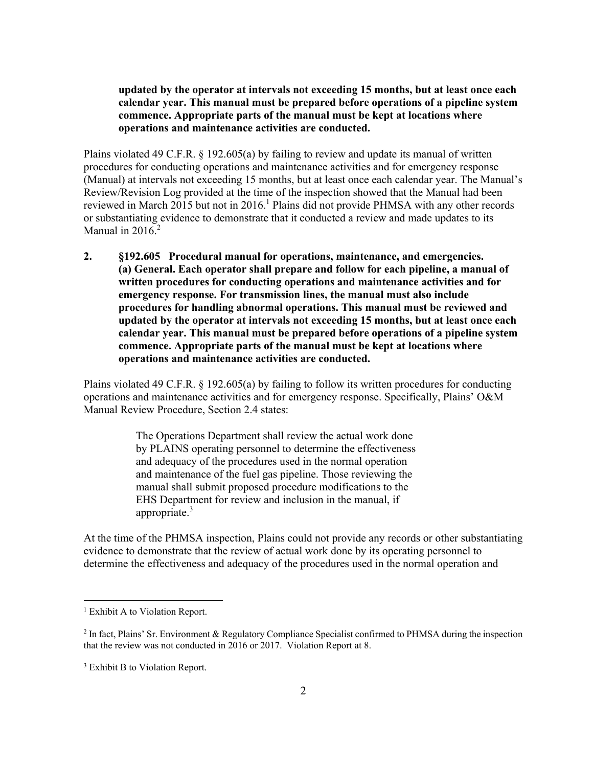**updated by the operator at intervals not exceeding 15 months, but at least once each calendar year. This manual must be prepared before operations of a pipeline system commence. Appropriate parts of the manual must be kept at locations where operations and maintenance activities are conducted.**

Plains violated 49 C.F.R. § 192.605(a) by failing to review and update its manual of written procedures for conducting operations and maintenance activities and for emergency response (Manual) at intervals not exceeding 15 months, but at least once each calendar year. The Manual's Review/Revision Log provided at the time of the inspection showed that the Manual had been reviewed in March 2015 but not in 2016.<sup>1</sup> Plains did not provide PHMSA with any other records or substantiating evidence to demonstrate that it conducted a review and made updates to its Manual in  $2016.<sup>2</sup>$ 

**2. §192.605 Procedural manual for operations, maintenance, and emergencies. (a) General. Each operator shall prepare and follow for each pipeline, a manual of written procedures for conducting operations and maintenance activities and for emergency response. For transmission lines, the manual must also include procedures for handling abnormal operations. This manual must be reviewed and updated by the operator at intervals not exceeding 15 months, but at least once each calendar year. This manual must be prepared before operations of a pipeline system commence. Appropriate parts of the manual must be kept at locations where operations and maintenance activities are conducted.**

Plains violated 49 C.F.R. § 192.605(a) by failing to follow its written procedures for conducting operations and maintenance activities and for emergency response. Specifically, Plains' O&M Manual Review Procedure, Section 2.4 states:

> The Operations Department shall review the actual work done by PLAINS operating personnel to determine the effectiveness and adequacy of the procedures used in the normal operation and maintenance of the fuel gas pipeline. Those reviewing the manual shall submit proposed procedure modifications to the EHS Department for review and inclusion in the manual, if appropriate.<sup>3</sup>

At the time of the PHMSA inspection, Plains could not provide any records or other substantiating evidence to demonstrate that the review of actual work done by its operating personnel to determine the effectiveness and adequacy of the procedures used in the normal operation and

 $\overline{a}$ 

<sup>&</sup>lt;sup>1</sup> Exhibit A to Violation Report.

 $^2$  In fact, Plains' Sr. Environment & Regulatory Compliance Specialist confirmed to PHMSA during the inspection that the review was not conducted in 2016 or 2017. Violation Report at 8.

<sup>&</sup>lt;sup>3</sup> Exhibit B to Violation Report.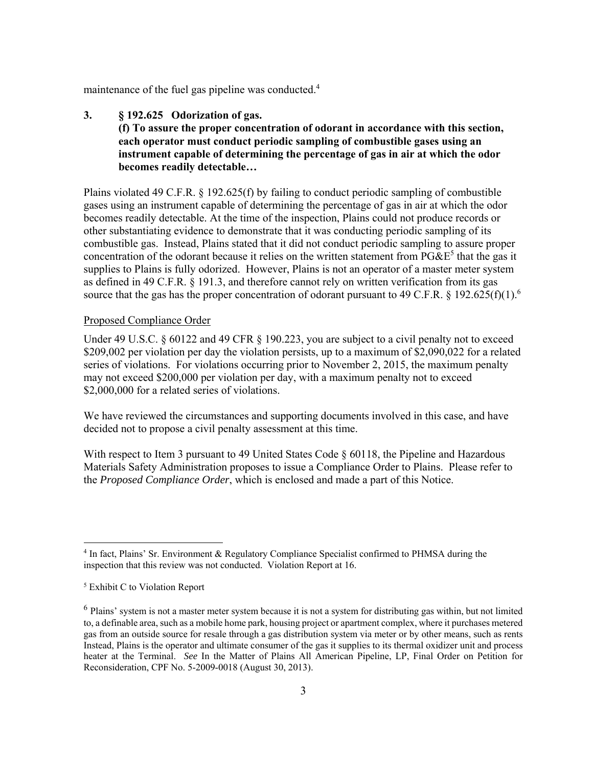maintenance of the fuel gas pipeline was conducted.<sup>4</sup>

 **3. § 192.625 Odorization of gas. (f) To assure the proper concentration of odorant in accordance with this section, each operator must conduct periodic sampling of combustible gases using an instrument capable of determining the percentage of gas in air at which the odor becomes readily detectable…** 

 supplies to Plains is fully odorized. However, Plains is not an operator of a master meter system Plains violated 49 C.F.R. § 192.625(f) by failing to conduct periodic sampling of combustible gases using an instrument capable of determining the percentage of gas in air at which the odor becomes readily detectable. At the time of the inspection, Plains could not produce records or other substantiating evidence to demonstrate that it was conducting periodic sampling of its combustible gas. Instead, Plains stated that it did not conduct periodic sampling to assure proper concentration of the odorant because it relies on the written statement from  $P G \& E^5$  that the gas it as defined in 49 C.F.R. § 191.3, and therefore cannot rely on written verification from its gas source that the gas has the proper concentration of odorant pursuant to 49 C.F.R. § 192.625(f)(1).<sup>6</sup>

#### Proposed Compliance Order

Under 49 U.S.C.  $\S 60122$  and 49 CFR  $\S 190.223$ , you are subject to a civil penalty not to exceed \$209,002 per violation per day the violation persists, up to a maximum of \$2,090,022 for a related series of violations. For violations occurring prior to November 2, 2015, the maximum penalty may not exceed \$200,000 per violation per day, with a maximum penalty not to exceed \$2,000,000 for a related series of violations.

 decided not to propose a civil penalty assessment at this time. We have reviewed the circumstances and supporting documents involved in this case, and have

With respect to Item 3 pursuant to 49 United States Code  $\S$  60118, the Pipeline and Hazardous Materials Safety Administration proposes to issue a Compliance Order to Plains. Please refer to the *Proposed Compliance Order*, which is enclosed and made a part of this Notice.

 $\overline{a}$ 

<sup>&</sup>lt;sup>4</sup> In fact, Plains' Sr. Environment & Regulatory Compliance Specialist confirmed to PHMSA during the inspection that this review was not conducted. Violation Report at 16.

 5 Exhibit C to Violation Report

 $^6$  Plains' system is not a master meter system because it is not a system for distributing gas within, but not limited to, a definable area, such as a mobile home park, housing project or apartment complex, where it purchases metered gas from an outside source for resale through a gas distribution system via meter or by other means, such as rents Instead, Plains is the operator and ultimate consumer of the gas it supplies to its thermal oxidizer unit and process heater at the Terminal. *See* In the Matter of Plains All American Pipeline, LP, Final Order on Petition for Reconsideration, CPF No. 5-2009-0018 (August 30, 2013).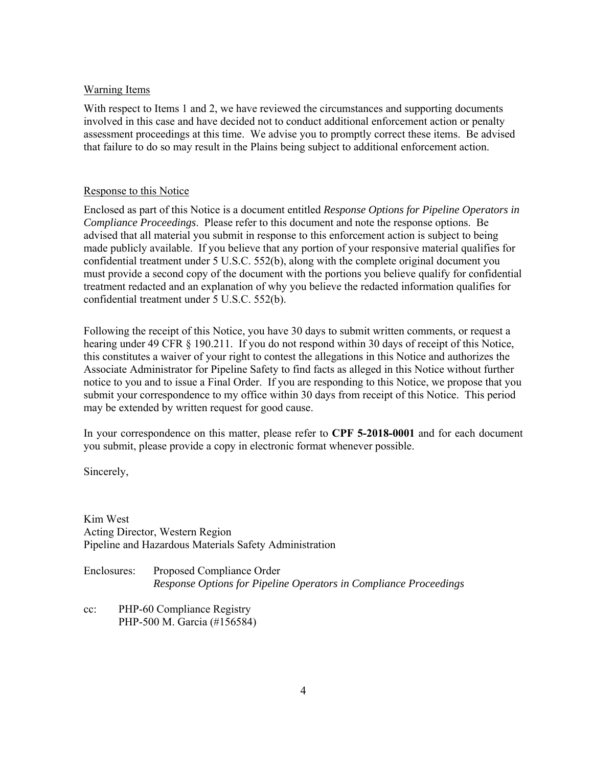#### Warning Items

With respect to Items 1 and 2, we have reviewed the circumstances and supporting documents involved in this case and have decided not to conduct additional enforcement action or penalty assessment proceedings at this time. We advise you to promptly correct these items. Be advised that failure to do so may result in the Plains being subject to additional enforcement action.

#### Response to this Notice

Enclosed as part of this Notice is a document entitled *Response Options for Pipeline Operators in Compliance Proceedings*. Please refer to this document and note the response options. Be advised that all material you submit in response to this enforcement action is subject to being made publicly available. If you believe that any portion of your responsive material qualifies for confidential treatment under 5 U.S.C. 552(b), along with the complete original document you must provide a second copy of the document with the portions you believe qualify for confidential treatment redacted and an explanation of why you believe the redacted information qualifies for confidential treatment under 5 U.S.C. 552(b).

Following the receipt of this Notice, you have 30 days to submit written comments, or request a hearing under 49 CFR § 190.211. If you do not respond within 30 days of receipt of this Notice, this constitutes a waiver of your right to contest the allegations in this Notice and authorizes the Associate Administrator for Pipeline Safety to find facts as alleged in this Notice without further notice to you and to issue a Final Order. If you are responding to this Notice, we propose that you submit your correspondence to my office within 30 days from receipt of this Notice. This period may be extended by written request for good cause.

In your correspondence on this matter, please refer to **CPF 5-2018-0001** and for each document you submit, please provide a copy in electronic format whenever possible.

Sincerely,

Kim West Acting Director, Western Region Pipeline and Hazardous Materials Safety Administration

Enclosures: Proposed Compliance Order *Response Options for Pipeline Operators in Compliance Proceedings* 

cc: PHP-60 Compliance Registry PHP-500 M. Garcia (#156584)